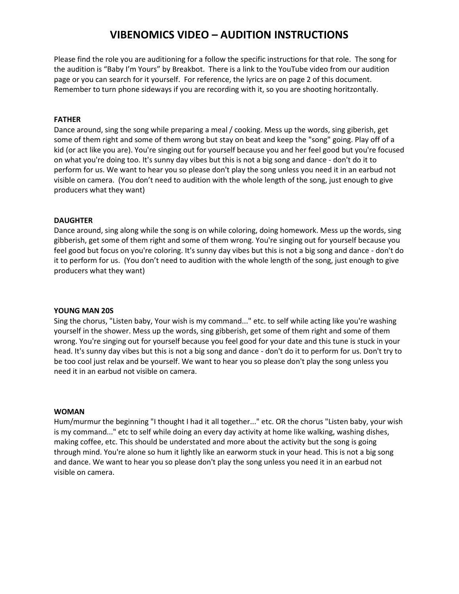# **VIBENOMICS VIDEO – AUDITION INSTRUCTIONS**

Please find the role you are auditioning for a follow the specific instructions for that role. The song for the audition is "Baby I'm Yours" by Breakbot. There is a link to the YouTube video from our audition page or you can search for it yourself. For reference, the lyrics are on page 2 of this document. Remember to turn phone sideways if you are recording with it, so you are shooting horitzontally.

### **FATHER**

Dance around, sing the song while preparing a meal / cooking. Mess up the words, sing giberish, get some of them right and some of them wrong but stay on beat and keep the "song" going. Play off of a kid (or act like you are). You're singing out for yourself because you and her feel good but you're focused on what you're doing too. It's sunny day vibes but this is not a big song and dance - don't do it to perform for us. We want to hear you so please don't play the song unless you need it in an earbud not visible on camera. (You don't need to audition with the whole length of the song, just enough to give producers what they want)

#### **DAUGHTER**

Dance around, sing along while the song is on while coloring, doing homework. Mess up the words, sing gibberish, get some of them right and some of them wrong. You're singing out for yourself because you feel good but focus on you're coloring. It's sunny day vibes but this is not a big song and dance - don't do it to perform for us. (You don't need to audition with the whole length of the song, just enough to give producers what they want)

#### **YOUNG MAN 20S**

Sing the chorus, "Listen baby, Your wish is my command..." etc. to self while acting like you're washing yourself in the shower. Mess up the words, sing gibberish, get some of them right and some of them wrong. You're singing out for yourself because you feel good for your date and this tune is stuck in your head. It's sunny day vibes but this is not a big song and dance - don't do it to perform for us. Don't try to be too cool just relax and be yourself. We want to hear you so please don't play the song unless you need it in an earbud not visible on camera.

#### **WOMAN**

Hum/murmur the beginning "I thought I had it all together..." etc. OR the chorus "Listen baby, your wish is my command..." etc to self while doing an every day activity at home like walking, washing dishes, making coffee, etc. This should be understated and more about the activity but the song is going through mind. You're alone so hum it lightly like an earworm stuck in your head. This is not a big song and dance. We want to hear you so please don't play the song unless you need it in an earbud not visible on camera.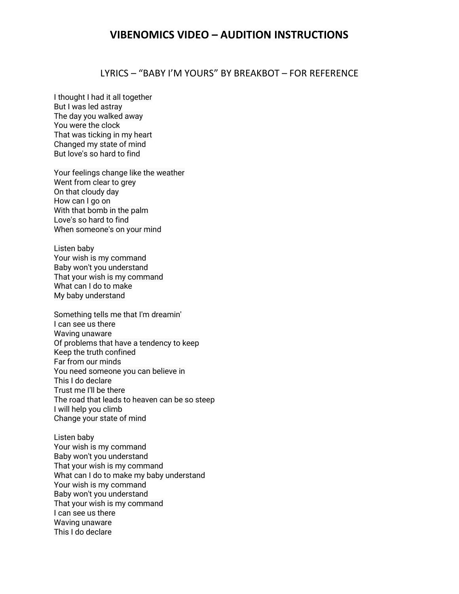## **VIBENOMICS VIDEO – AUDITION INSTRUCTIONS**

## LYRICS – "BABY I'M YOURS" BY BREAKBOT – FOR REFERENCE

I thought I had it all together But I was led astray The day you walked away You were the clock That was ticking in my heart Changed my state of mind But love's so hard to find

Your feelings change like the weather Went from clear to grey On that cloudy day How can I go on With that bomb in the palm Love's so hard to find When someone's on your mind

Listen baby Your wish is my command Baby won't you understand That your wish is my command What can I do to make My baby understand

Something tells me that I'm dreamin' I can see us there Waving unaware Of problems that have a tendency to keep Keep the truth confined Far from our minds You need someone you can believe in This I do declare Trust me I'll be there The road that leads to heaven can be so steep I will help you climb Change your state of mind

Listen baby Your wish is my command Baby won't you understand That your wish is my command What can I do to make my baby understand Your wish is my command Baby won't you understand That your wish is my command I can see us there Waving unaware This I do declare